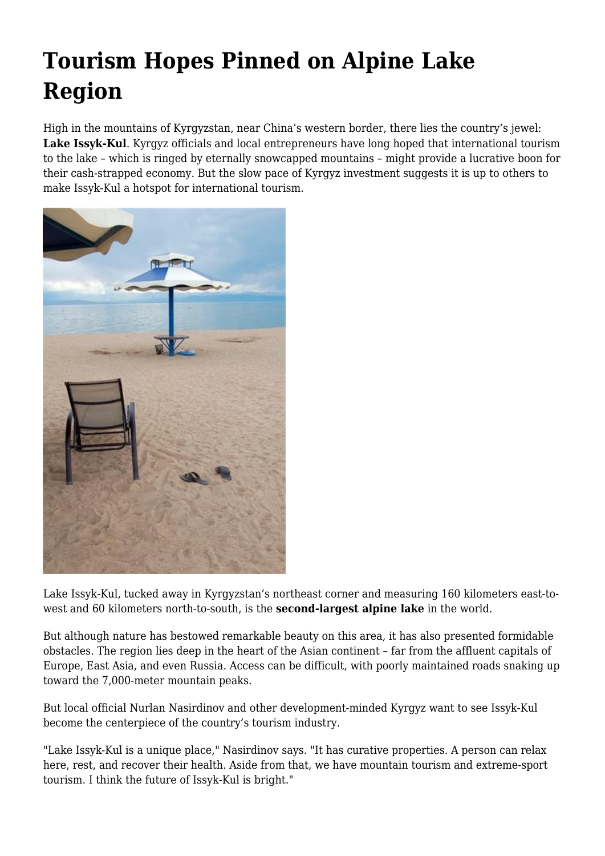## **Tourism Hopes Pinned on Alpine Lake Region**

High in the mountains of Kyrgyzstan, near China's western border, there lies the country's jewel: **Lake Issyk-Kul**. Kyrgyz officials and local entrepreneurs have long hoped that international tourism to the lake – which is ringed by eternally snowcapped mountains – might provide a lucrative boon for their cash-strapped economy. But the slow pace of Kyrgyz investment suggests it is up to others to make Issyk-Kul a hotspot for international tourism.



Lake Issyk-Kul, tucked away in Kyrgyzstan's northeast corner and measuring 160 kilometers east-towest and 60 kilometers north-to-south, is the **second-largest alpine lake** in the world.

But although nature has bestowed remarkable beauty on this area, it has also presented formidable obstacles. The region lies deep in the heart of the Asian continent – far from the affluent capitals of Europe, East Asia, and even Russia. Access can be difficult, with poorly maintained roads snaking up toward the 7,000-meter mountain peaks.

But local official Nurlan Nasirdinov and other development-minded Kyrgyz want to see Issyk-Kul become the centerpiece of the country's tourism industry.

"Lake Issyk-Kul is a unique place," Nasirdinov says. "It has curative properties. A person can relax here, rest, and recover their health. Aside from that, we have mountain tourism and extreme-sport tourism. I think the future of Issyk-Kul is bright."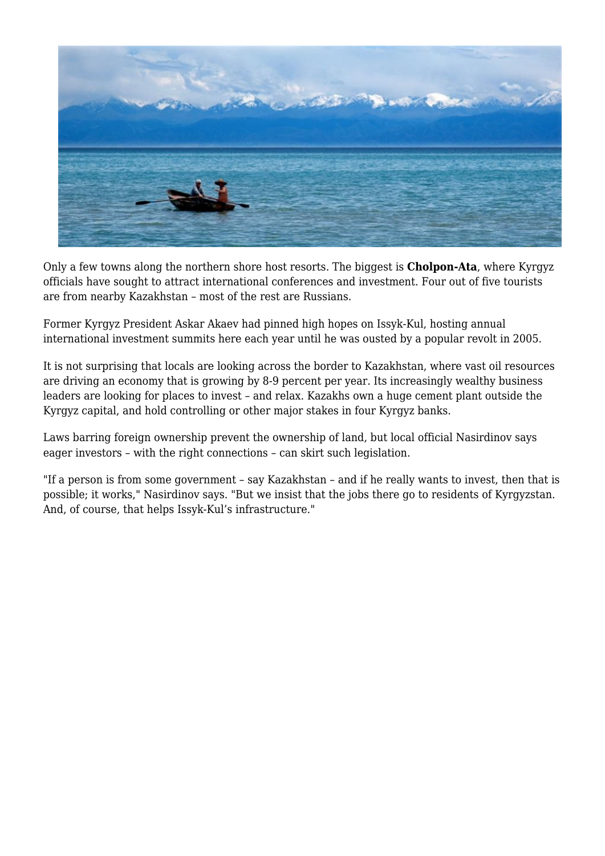

Only a few towns along the northern shore host resorts. The biggest is **Cholpon-Ata**, where Kyrgyz officials have sought to attract international conferences and investment. Four out of five tourists are from nearby Kazakhstan – most of the rest are Russians.

Former Kyrgyz President Askar Akaev had pinned high hopes on Issyk-Kul, hosting annual international investment summits here each year until he was ousted by a popular revolt in 2005.

It is not surprising that locals are looking across the border to Kazakhstan, where vast oil resources are driving an economy that is growing by 8-9 percent per year. Its increasingly wealthy business leaders are looking for places to invest – and relax. Kazakhs own a huge cement plant outside the Kyrgyz capital, and hold controlling or other major stakes in four Kyrgyz banks.

Laws barring foreign ownership prevent the ownership of land, but local official Nasirdinov says eager investors – with the right connections – can skirt such legislation.

"If a person is from some government – say Kazakhstan – and if he really wants to invest, then that is possible; it works," Nasirdinov says. "But we insist that the jobs there go to residents of Kyrgyzstan. And, of course, that helps Issyk-Kul's infrastructure."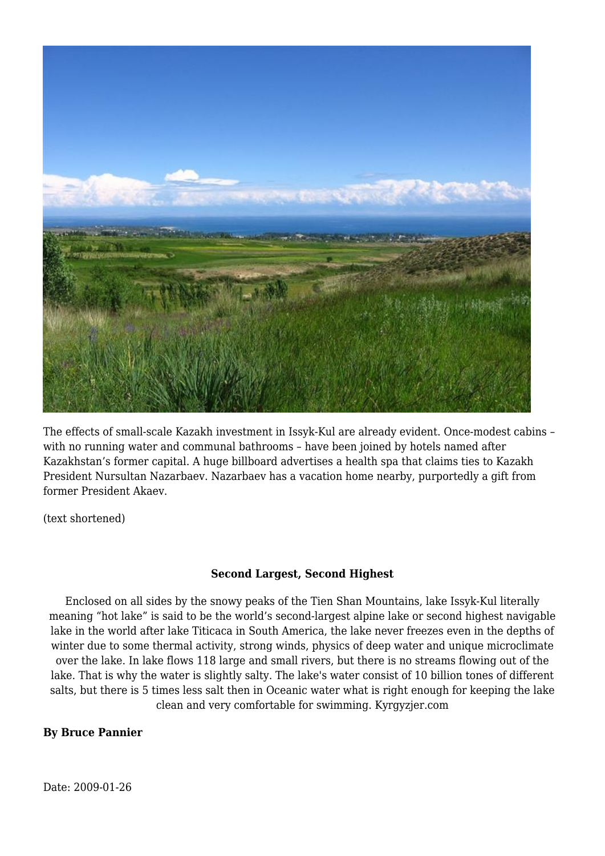

The effects of small-scale Kazakh investment in Issyk-Kul are already evident. Once-modest cabins – with no running water and communal bathrooms – have been joined by hotels named after Kazakhstan's former capital. A huge billboard advertises a health spa that claims ties to Kazakh President Nursultan Nazarbaev. Nazarbaev has a vacation home nearby, purportedly a gift from former President Akaev.

(text shortened)

## **Second Largest, Second Highest**

Enclosed on all sides by the snowy peaks of the Tien Shan Mountains, lake Issyk-Kul literally meaning "hot lake" is said to be the world's second-largest alpine lake or second highest navigable lake in the world after lake Titicaca in South America, the lake never freezes even in the depths of winter due to some thermal activity, strong winds, physics of deep water and unique microclimate over the lake. In lake flows 118 large and small rivers, but there is no streams flowing out of the lake. That is why the water is slightly salty. The lake's water consist of 10 billion tones of different salts, but there is 5 times less salt then in Oceanic water what is right enough for keeping the lake clean and very comfortable for swimming. Kyrgyzjer.com

## **By Bruce Pannier**